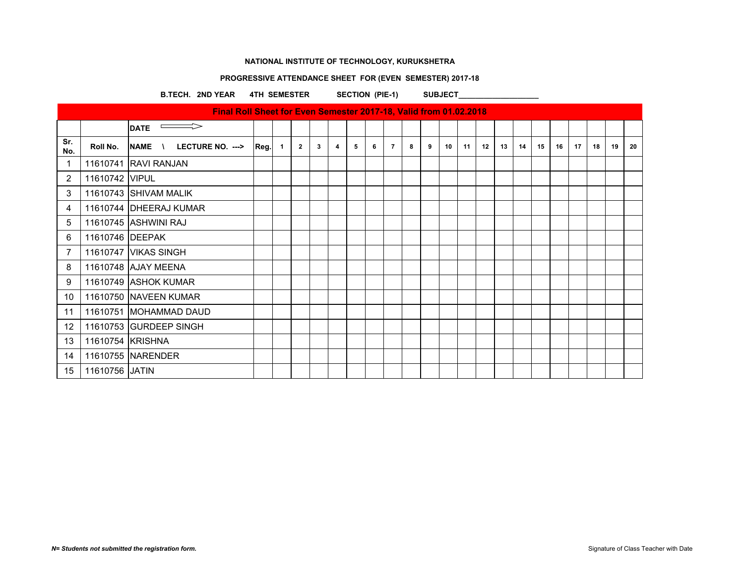# **PROGRESSIVE ATTENDANCE SHEET FOR (EVEN SEMESTER) 2017-18**

B.TECH. 2ND YEAR 4TH SEMESTER SECTION (PIE-1) SUBJECT

|                 |                  | Final Roll Sheet for Even Semester 2017-18, Valid from 01.02.2018 |      |              |                |   |   |   |   |                |   |   |    |    |    |    |    |    |    |    |    |    |    |
|-----------------|------------------|-------------------------------------------------------------------|------|--------------|----------------|---|---|---|---|----------------|---|---|----|----|----|----|----|----|----|----|----|----|----|
|                 |                  | $\implies$<br><b>DATE</b>                                         |      |              |                |   |   |   |   |                |   |   |    |    |    |    |    |    |    |    |    |    |    |
| Sr.<br>No.      | Roll No.         | <b>LECTURE NO. ---&gt;</b><br><b>NAME</b><br>$\mathcal{N}$        | Reg. | $\mathbf{1}$ | $\overline{2}$ | 3 | 4 | 5 | 6 | $\overline{7}$ | 8 | 9 | 10 | 11 | 12 | 13 | 14 | 15 | 16 | 17 | 18 | 19 | 20 |
| $\mathbf 1$     |                  | 11610741 RAVI RANJAN                                              |      |              |                |   |   |   |   |                |   |   |    |    |    |    |    |    |    |    |    |    |    |
| 2               | 11610742 VIPUL   |                                                                   |      |              |                |   |   |   |   |                |   |   |    |    |    |    |    |    |    |    |    |    |    |
| 3               |                  | 11610743 SHIVAM MALIK                                             |      |              |                |   |   |   |   |                |   |   |    |    |    |    |    |    |    |    |    |    |    |
| 4               |                  | 11610744 DHEERAJ KUMAR                                            |      |              |                |   |   |   |   |                |   |   |    |    |    |    |    |    |    |    |    |    |    |
| 5               |                  | 11610745 ASHWINI RAJ                                              |      |              |                |   |   |   |   |                |   |   |    |    |    |    |    |    |    |    |    |    |    |
| 6               | 11610746 DEEPAK  |                                                                   |      |              |                |   |   |   |   |                |   |   |    |    |    |    |    |    |    |    |    |    |    |
| 7               |                  | 11610747 VIKAS SINGH                                              |      |              |                |   |   |   |   |                |   |   |    |    |    |    |    |    |    |    |    |    |    |
| 8               |                  | 11610748 AJAY MEENA                                               |      |              |                |   |   |   |   |                |   |   |    |    |    |    |    |    |    |    |    |    |    |
| 9               |                  | 11610749 ASHOK KUMAR                                              |      |              |                |   |   |   |   |                |   |   |    |    |    |    |    |    |    |    |    |    |    |
| 10 <sup>°</sup> |                  | 11610750 NAVEEN KUMAR                                             |      |              |                |   |   |   |   |                |   |   |    |    |    |    |    |    |    |    |    |    |    |
| 11              |                  | 11610751 MOHAMMAD DAUD                                            |      |              |                |   |   |   |   |                |   |   |    |    |    |    |    |    |    |    |    |    |    |
| 12              |                  | 11610753 GURDEEP SINGH                                            |      |              |                |   |   |   |   |                |   |   |    |    |    |    |    |    |    |    |    |    |    |
| 13              | 11610754 KRISHNA |                                                                   |      |              |                |   |   |   |   |                |   |   |    |    |    |    |    |    |    |    |    |    |    |
| 14              |                  | 11610755 NARENDER                                                 |      |              |                |   |   |   |   |                |   |   |    |    |    |    |    |    |    |    |    |    |    |
| 15              | 11610756 JATIN   |                                                                   |      |              |                |   |   |   |   |                |   |   |    |    |    |    |    |    |    |    |    |    |    |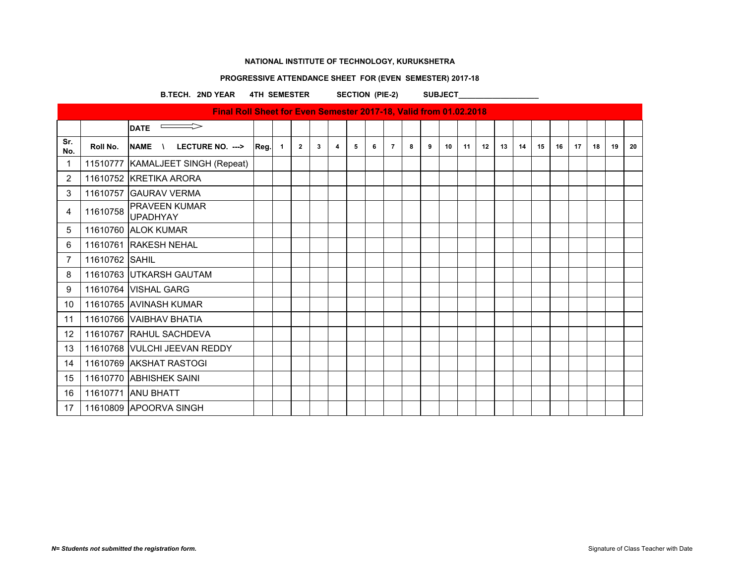# **PROGRESSIVE ATTENDANCE SHEET FOR (EVEN SEMESTER) 2017-18**

B.TECH. 2ND YEAR 4TH SEMESTER SECTION (PIE-2) SUBJECT

|            |                | Final Roll Sheet for Even Semester 2017-18, Valid from 01.02.2018 |      |                |                |              |   |   |   |                |   |   |    |    |    |    |    |    |    |    |    |    |    |
|------------|----------------|-------------------------------------------------------------------|------|----------------|----------------|--------------|---|---|---|----------------|---|---|----|----|----|----|----|----|----|----|----|----|----|
|            |                | $\overline{\phantom{0}}$ DATE                                     |      |                |                |              |   |   |   |                |   |   |    |    |    |    |    |    |    |    |    |    |    |
| Sr.<br>No. | Roll No.       | <b>NAME</b><br>LECTURE NO. ---><br>$\lambda$                      | Reg. | $\overline{1}$ | $\overline{2}$ | $\mathbf{3}$ | 4 | 5 | 6 | $\overline{7}$ | 8 | 9 | 10 | 11 | 12 | 13 | 14 | 15 | 16 | 17 | 18 | 19 | 20 |
| 1          |                | 11510777   KAMALJEET SINGH (Repeat)                               |      |                |                |              |   |   |   |                |   |   |    |    |    |    |    |    |    |    |    |    |    |
| 2          |                | 11610752 KRETIKA ARORA                                            |      |                |                |              |   |   |   |                |   |   |    |    |    |    |    |    |    |    |    |    |    |
| 3          |                | 11610757 GAURAV VERMA                                             |      |                |                |              |   |   |   |                |   |   |    |    |    |    |    |    |    |    |    |    |    |
| 4          | 11610758       | <b>PRAVEEN KUMAR</b><br><b>UPADHYAY</b>                           |      |                |                |              |   |   |   |                |   |   |    |    |    |    |    |    |    |    |    |    |    |
| 5          |                | 11610760 ALOK KUMAR                                               |      |                |                |              |   |   |   |                |   |   |    |    |    |    |    |    |    |    |    |    |    |
| 6          |                | 11610761 RAKESH NEHAL                                             |      |                |                |              |   |   |   |                |   |   |    |    |    |    |    |    |    |    |    |    |    |
| 7          | 11610762 SAHIL |                                                                   |      |                |                |              |   |   |   |                |   |   |    |    |    |    |    |    |    |    |    |    |    |
| 8          |                | 11610763 UTKARSH GAUTAM                                           |      |                |                |              |   |   |   |                |   |   |    |    |    |    |    |    |    |    |    |    |    |
| 9          |                | 11610764 VISHAL GARG                                              |      |                |                |              |   |   |   |                |   |   |    |    |    |    |    |    |    |    |    |    |    |
| 10         |                | 11610765 AVINASH KUMAR                                            |      |                |                |              |   |   |   |                |   |   |    |    |    |    |    |    |    |    |    |    |    |
| 11         |                | 11610766 VAIBHAV BHATIA                                           |      |                |                |              |   |   |   |                |   |   |    |    |    |    |    |    |    |    |    |    |    |
| 12         |                | 11610767 RAHUL SACHDEVA                                           |      |                |                |              |   |   |   |                |   |   |    |    |    |    |    |    |    |    |    |    |    |
| 13         |                | 11610768 VULCHI JEEVAN REDDY                                      |      |                |                |              |   |   |   |                |   |   |    |    |    |    |    |    |    |    |    |    |    |
| 14         |                | 11610769 AKSHAT RASTOGI                                           |      |                |                |              |   |   |   |                |   |   |    |    |    |    |    |    |    |    |    |    |    |
| 15         |                | 11610770 ABHISHEK SAINI                                           |      |                |                |              |   |   |   |                |   |   |    |    |    |    |    |    |    |    |    |    |    |
| 16         |                | 11610771 ANU BHATT                                                |      |                |                |              |   |   |   |                |   |   |    |    |    |    |    |    |    |    |    |    |    |
| 17         |                | 11610809 APOORVA SINGH                                            |      |                |                |              |   |   |   |                |   |   |    |    |    |    |    |    |    |    |    |    |    |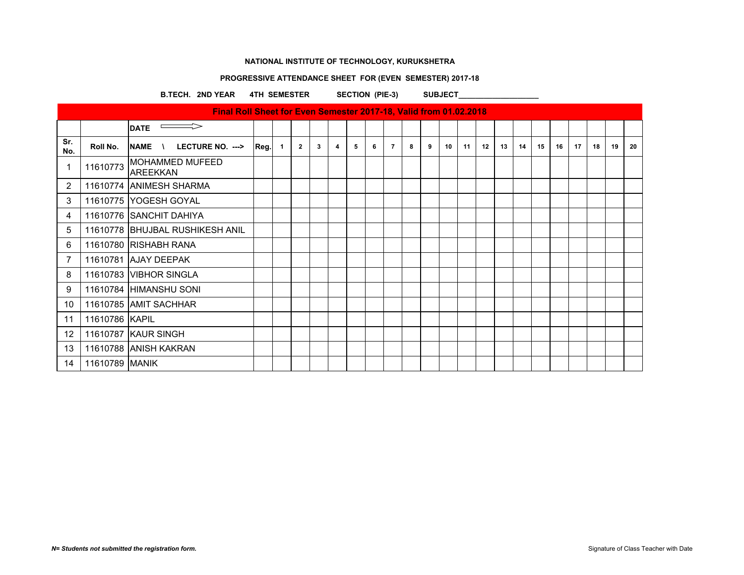# **PROGRESSIVE ATTENDANCE SHEET FOR (EVEN SEMESTER) 2017-18**

B.TECH. 2ND YEAR 4TH SEMESTER SECTION (PIE-3) SUBJECT\_\_\_\_\_\_\_\_\_\_\_\_\_\_\_\_\_\_\_\_\_\_\_\_\_\_\_

|                          |                | Final Roll Sheet for Even Semester 2017-18, Valid from 01.02.2018 |      |                |                |   |   |   |   |                |   |   |    |    |    |    |    |    |    |    |    |    |    |
|--------------------------|----------------|-------------------------------------------------------------------|------|----------------|----------------|---|---|---|---|----------------|---|---|----|----|----|----|----|----|----|----|----|----|----|
|                          |                | $\implies$<br><b>DATE</b>                                         |      |                |                |   |   |   |   |                |   |   |    |    |    |    |    |    |    |    |    |    |    |
| Sr.<br>No.               | Roll No.       | <b>NAME</b><br>LECTURE NO. ---><br>$\mathcal{N}$                  | Reg. | $\blacksquare$ | $\overline{2}$ | 3 | 4 | 5 | 6 | $\overline{7}$ | 8 | 9 | 10 | 11 | 12 | 13 | 14 | 15 | 16 | 17 | 18 | 19 | 20 |
| $\overline{\phantom{a}}$ | 11610773       | <b>MOHAMMED MUFEED</b><br><b>AREEKKAN</b>                         |      |                |                |   |   |   |   |                |   |   |    |    |    |    |    |    |    |    |    |    |    |
| 2                        |                | 11610774 ANIMESH SHARMA                                           |      |                |                |   |   |   |   |                |   |   |    |    |    |    |    |    |    |    |    |    |    |
| 3                        |                | 11610775 YOGESH GOYAL                                             |      |                |                |   |   |   |   |                |   |   |    |    |    |    |    |    |    |    |    |    |    |
| 4                        |                | 11610776 SANCHIT DAHIYA                                           |      |                |                |   |   |   |   |                |   |   |    |    |    |    |    |    |    |    |    |    |    |
| 5                        |                | 11610778 BHUJBAL RUSHIKESH ANIL                                   |      |                |                |   |   |   |   |                |   |   |    |    |    |    |    |    |    |    |    |    |    |
| 6                        |                | 11610780 RISHABH RANA                                             |      |                |                |   |   |   |   |                |   |   |    |    |    |    |    |    |    |    |    |    |    |
| 7                        |                | 11610781 AJAY DEEPAK                                              |      |                |                |   |   |   |   |                |   |   |    |    |    |    |    |    |    |    |    |    |    |
| 8                        |                | 11610783 VIBHOR SINGLA                                            |      |                |                |   |   |   |   |                |   |   |    |    |    |    |    |    |    |    |    |    |    |
| 9                        |                | 11610784 HIMANSHU SONI                                            |      |                |                |   |   |   |   |                |   |   |    |    |    |    |    |    |    |    |    |    |    |
| 10                       |                | 11610785 AMIT SACHHAR                                             |      |                |                |   |   |   |   |                |   |   |    |    |    |    |    |    |    |    |    |    |    |
| 11                       | 11610786 KAPIL |                                                                   |      |                |                |   |   |   |   |                |   |   |    |    |    |    |    |    |    |    |    |    |    |
| $12 \overline{ }$        |                | 11610787 KAUR SINGH                                               |      |                |                |   |   |   |   |                |   |   |    |    |    |    |    |    |    |    |    |    |    |
| 13                       |                | 11610788 ANISH KAKRAN                                             |      |                |                |   |   |   |   |                |   |   |    |    |    |    |    |    |    |    |    |    |    |
| 14                       | 11610789 MANIK |                                                                   |      |                |                |   |   |   |   |                |   |   |    |    |    |    |    |    |    |    |    |    |    |